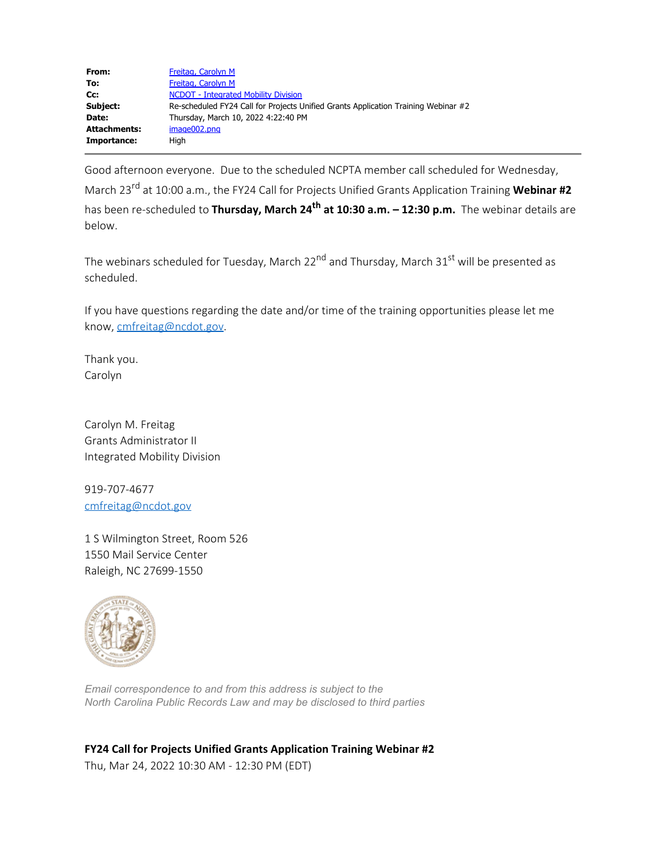| From:        | Freitag, Carolyn M                                                                 |
|--------------|------------------------------------------------------------------------------------|
| To:          | Freitag, Carolyn M                                                                 |
| Cc:          | <b>NCDOT</b> - Integrated Mobility Division                                        |
| Subject:     | Re-scheduled FY24 Call for Projects Unified Grants Application Training Webinar #2 |
| Date:        | Thursday, March 10, 2022 4:22:40 PM                                                |
| Attachments: | image002.png                                                                       |
| Importance:  | Hiah                                                                               |
|              |                                                                                    |

Good afternoon everyone. Due to the scheduled NCPTA member call scheduled for Wednesday, March 23rd at 10:00 a.m., the FY24 Call for Projects Unified Grants Application Training **Webinar #2** has been re-scheduled to **Thursday, March 24th at 10:30 a.m. – 12:30 p.m.** The webinar details are below.

The webinars scheduled for Tuesday, March 22<sup>nd</sup> and Thursday, March 31<sup>st</sup> will be presented as scheduled.

If you have questions regarding the date and/or time of the training opportunities please let me know, [cmfreitag@ncdot.gov](mailto:cmfreitag@ncdot.gov).

Thank you. Carolyn

Carolyn M. Freitag Grants Administrator II Integrated Mobility Division

919-707-4677 [cmfreitag@ncdot.gov](mailto:cmfreitag@ncdot.gov)

1 S Wilmington Street, Room 526 1550 Mail Service Center Raleigh, NC 27699-1550



*Email correspondence to and from this address is subject to the North Carolina Public Records Law and may be disclosed to third parties*

**FY24 Call for Projects Unified Grants Application Training Webinar #2** Thu, Mar 24, 2022 10:30 AM - 12:30 PM (EDT)